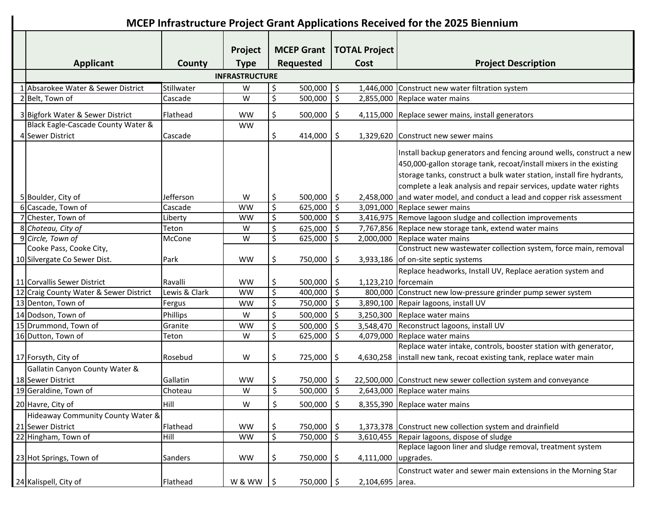## **MCEP Infrastructure Project Grant Applications Received for the 2025 Biennium**

|                                        |                       | Project     |               |                  |                          | <b>MCEP Grant   TOTAL Project</b> |                                                                       |
|----------------------------------------|-----------------------|-------------|---------------|------------------|--------------------------|-----------------------------------|-----------------------------------------------------------------------|
| <b>Applicant</b>                       | County                | <b>Type</b> |               | <b>Requested</b> |                          | Cost                              | <b>Project Description</b>                                            |
|                                        | <b>INFRASTRUCTURE</b> |             |               |                  |                          |                                   |                                                                       |
| 1 Absarokee Water & Sewer District     | Stillwater            | W           | \$            | 500,000          | $\zeta$                  |                                   | 1,446,000 Construct new water filtration system                       |
| 2 Belt, Town of                        | Cascade               | W           | \$            | 500,000          | \$                       |                                   | 2,855,000 Replace water mains                                         |
|                                        |                       |             |               |                  |                          |                                   |                                                                       |
| 3 Bigfork Water & Sewer District       | Flathead              | <b>WW</b>   | \$            | 500,000          | -\$                      |                                   | 4,115,000 Replace sewer mains, install generators                     |
| Black Eagle-Cascade County Water &     |                       | <b>WW</b>   |               |                  |                          |                                   |                                                                       |
| 4 Sewer District                       | Cascade               |             | \$            | 414,000          | \$                       |                                   | 1,329,620 Construct new sewer mains                                   |
|                                        |                       |             |               |                  |                          |                                   | Install backup generators and fencing around wells, construct a new   |
|                                        |                       |             |               |                  |                          |                                   | 450,000-gallon storage tank, recoat/install mixers in the existing    |
|                                        |                       |             |               |                  |                          |                                   | storage tanks, construct a bulk water station, install fire hydrants, |
|                                        |                       |             |               |                  |                          |                                   | complete a leak analysis and repair services, update water rights     |
| 5 Boulder, City of                     | Jefferson             | W           | \$            | 500,000   \$     |                          | 2,458,000                         | and water model, and conduct a lead and copper risk assessment        |
| 6 Cascade, Town of                     | Cascade               | <b>WW</b>   | \$            | 625,000          | $\ddot{\mathsf{S}}$      |                                   | 3,091,000 Replace sewer mains                                         |
| 7 Chester, Town of                     | Liberty               | <b>WW</b>   | \$            | 500,000          | \$                       |                                   | 3,416,975 Remove lagoon sludge and collection improvements            |
| 8 Choteau, City of                     | Teton                 | W           | \$            | 625,000          | \$                       |                                   | 7,767,856 Replace new storage tank, extend water mains                |
| 9 Circle, Town of                      | McCone                | W           | \$            | 625,000          | \$                       |                                   | 2,000,000 Replace water mains                                         |
| Cooke Pass, Cooke City,                |                       |             |               |                  |                          |                                   | Construct new wastewater collection system, force main, removal       |
| 10 Silvergate Co Sewer Dist.           | Park                  | <b>WW</b>   | \$            | 750,000          | \$                       |                                   | 3,933,186 of on-site septic systems                                   |
|                                        |                       |             |               |                  |                          |                                   | Replace headworks, Install UV, Replace aeration system and            |
| 11 Corvallis Sewer District            | Ravalli               | <b>WW</b>   | \$            | $500,000$   \$   |                          | 1,123,210 forcemain               |                                                                       |
| 12 Craig County Water & Sewer District | Lewis & Clark         | <b>WW</b>   | \$            | 400,000          | $\ddot{\mathsf{S}}$      |                                   | 800,000 Construct new low-pressure grinder pump sewer system          |
| 13 Denton, Town of                     | Fergus                | <b>WW</b>   | \$            | 750,000          | $\ddot{\mathsf{S}}$      |                                   | 3,890,100 Repair lagoons, install UV                                  |
| 14 Dodson, Town of                     | Phillips              | W           | \$            | 500,000          | \$                       |                                   | 3,250,300 Replace water mains                                         |
| 15 Drummond, Town of                   | Granite               | <b>WW</b>   | \$            | 500,000          | \$                       | 3,548,470                         | Reconstruct lagoons, install UV                                       |
| 16 Dutton, Town of                     | Teton                 | W           | \$            | 625,000          | \$                       |                                   | 4,079,000 Replace water mains                                         |
|                                        |                       |             |               |                  |                          |                                   | Replace water intake, controls, booster station with generator,       |
| 17 Forsyth, City of                    | Rosebud               | W           | \$            | 725,000          | \$                       | 4,630,258                         | install new tank, recoat existing tank, replace water main            |
| Gallatin Canyon County Water &         |                       |             |               |                  |                          |                                   |                                                                       |
| 18 Sewer District                      | Gallatin              | <b>WW</b>   | \$            | 750,000 \$       |                          |                                   | 22,500,000 Construct new sewer collection system and conveyance       |
| 19 Geraldine, Town of                  | Choteau               | W           | \$            | 500,000          | $\overline{\phantom{a}}$ |                                   | 2,643,000 Replace water mains                                         |
| 20 Havre, City of                      | Hill                  | W           | Ś             | 500,000          | \$                       |                                   | 8,355,390 Replace water mains                                         |
| Hideaway Community County Water &      |                       |             |               |                  |                          |                                   |                                                                       |
| 21 Sewer District                      | Flathead              | <b>WW</b>   | \$            | 750,000 \$       |                          |                                   | 1,373,378 Construct new collection system and drainfield              |
| 22 Hingham, Town of                    | Hill                  | <b>WW</b>   | \$            | 750,000          | $\zeta$                  |                                   | 3,610,455 Repair lagoons, dispose of sludge                           |
|                                        |                       |             |               |                  |                          |                                   | Replace lagoon liner and sludge removal, treatment system             |
| 23 Hot Springs, Town of                | Sanders               | <b>WW</b>   | \$            | 750,000 \$       |                          | 4,111,000                         | upgrades.                                                             |
|                                        |                       |             |               |                  |                          |                                   | Construct water and sewer main extensions in the Morning Star         |
| 24 Kalispell, City of                  | Flathead              | W & WW      | $\frac{1}{2}$ | 750,000 \$       |                          | 2,104,695 area.                   |                                                                       |